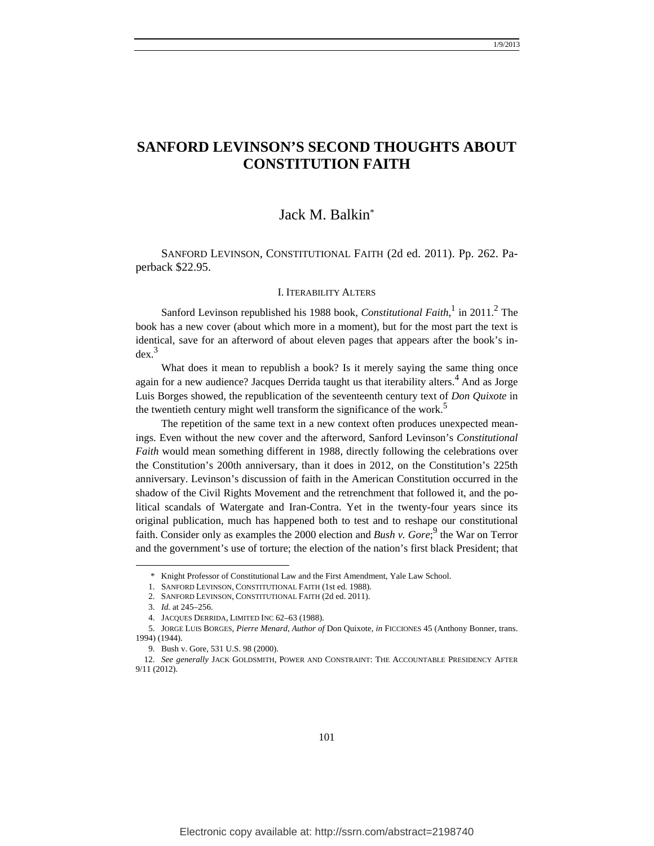# **SANFORD LEVINSON'S SECOND THOUGHTS ABOUT CONSTITUTION FAITH**

# Jack M. Balkin\*

SANFORD LEVINSON, CONSTITUTIONAL FAITH (2d ed. 2011). Pp. 262. Paperback \$22.95.

#### I. ITERABILITY ALTERS

Sanford Levinson republished his 1988 book, *Constitutional Faith*,<sup>1</sup> in 2011.<sup>2</sup> The book has a new cover (about which more in a moment), but for the most part the text is identical, save for an afterword of about eleven pages that appears after the book's in $dex.<sup>3</sup>$ 

What does it mean to republish a book? Is it merely saying the same thing once again for a new audience? Jacques Derrida taught us that iterability alters.<sup>4</sup> And as Jorge Luis Borges showed, the republication of the seventeenth century text of *Don Quixote* in the twentieth century might well transform the significance of the work.<sup>5</sup>

The repetition of the same text in a new context often produces unexpected meanings. Even without the new cover and the afterword, Sanford Levinson's *Constitutional Faith* would mean something different in 1988, directly following the celebrations over the Constitution's 200th anniversary, than it does in 2012, on the Constitution's 225th anniversary. Levinson's discussion of faith in the American Constitution occurred in the shadow of the Civil Rights Movement and the retrenchment that followed it, and the political scandals of Watergate and Iran-Contra. Yet in the twenty-four years since its original publication, much has happened both to test and to reshape our constitutional faith. Consider only as examples the 2000 election and *Bush v. Gore*;<sup>9</sup> the War on Terror and the government's use of torture; the election of the nation's first black President; that

 <sup>\*</sup> Knight Professor of Constitutional Law and the First Amendment, Yale Law School.

 <sup>1.</sup> SANFORD LEVINSON, CONSTITUTIONAL FAITH (1st ed. 1988).

 <sup>2.</sup> SANFORD LEVINSON, CONSTITUTIONAL FAITH (2d ed. 2011).

 <sup>3.</sup> *Id.* at 245–256.

 <sup>4.</sup> JACQUES DERRIDA, LIMITED INC 62–63 (1988).

 <sup>5.</sup> JORGE LUIS BORGES, *Pierre Menard, Author of* Don Quixote, *in* FICCIONES 45 (Anthony Bonner, trans. 1994) (1944).

 <sup>9.</sup> Bush v. Gore, 531 U.S. 98 (2000).

 <sup>12.</sup> *See generally* JACK GOLDSMITH, POWER AND CONSTRAINT: THE ACCOUNTABLE PRESIDENCY AFTER 9/11 (2012).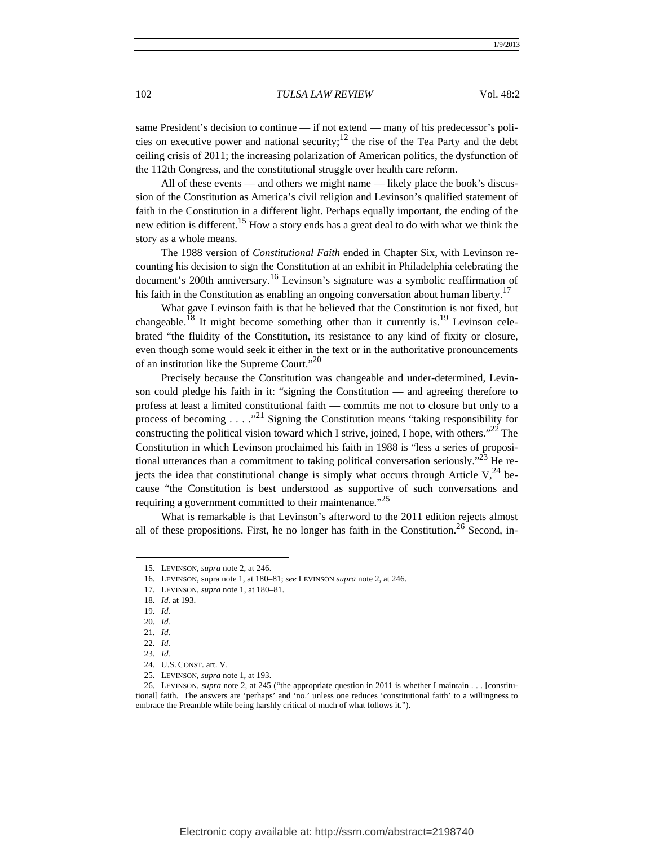same President's decision to continue — if not extend — many of his predecessor's policies on executive power and national security;<sup>12</sup> the rise of the Tea Party and the debt ceiling crisis of 2011; the increasing polarization of American politics, the dysfunction of the 112th Congress, and the constitutional struggle over health care reform.

All of these events — and others we might name — likely place the book's discussion of the Constitution as America's civil religion and Levinson's qualified statement of faith in the Constitution in a different light. Perhaps equally important, the ending of the new edition is different.15 How a story ends has a great deal to do with what we think the story as a whole means.

The 1988 version of *Constitutional Faith* ended in Chapter Six, with Levinson recounting his decision to sign the Constitution at an exhibit in Philadelphia celebrating the document's 200th anniversary.<sup>16</sup> Levinson's signature was a symbolic reaffirmation of his faith in the Constitution as enabling an ongoing conversation about human liberty.<sup>17</sup>

What gave Levinson faith is that he believed that the Constitution is not fixed, but changeable.<sup>18</sup> It might become something other than it currently is.<sup>19</sup> Levinson celebrated "the fluidity of the Constitution, its resistance to any kind of fixity or closure, even though some would seek it either in the text or in the authoritative pronouncements of an institution like the Supreme Court."<sup>20</sup>

Precisely because the Constitution was changeable and under-determined, Levinson could pledge his faith in it: "signing the Constitution — and agreeing therefore to profess at least a limited constitutional faith — commits me not to closure but only to a process of becoming . . . .<sup>21</sup> Signing the Constitution means "taking responsibility for constructing the political vision toward which I strive, joined, I hope, with others."<sup>22</sup> The Constitution in which Levinson proclaimed his faith in 1988 is "less a series of propositional utterances than a commitment to taking political conversation seriously.<sup> $32$ </sup> He rejects the idea that constitutional change is simply what occurs through Article  $V<sub>1</sub><sup>24</sup>$  because "the Constitution is best understood as supportive of such conversations and requiring a government committed to their maintenance."<sup>25</sup>

What is remarkable is that Levinson's afterword to the 2011 edition rejects almost all of these propositions. First, he no longer has faith in the Constitution.<sup>26</sup> Second, in-

 <sup>15.</sup> LEVINSON, *supra* note 2, at 246.

 <sup>16.</sup> LEVINSON, supra note 1, at 180–81; *see* LEVINSON *supra* note 2, at 246.

 <sup>17.</sup> LEVINSON, *supra* note 1, at 180–81.

 <sup>18.</sup> *Id.* at 193.

 <sup>19.</sup> *Id.*

 <sup>20.</sup> *Id.*

 <sup>21.</sup> *Id.*

 <sup>22.</sup> *Id.*

 <sup>23.</sup> *Id.*

 <sup>24.</sup> U.S. CONST. art. V.

 <sup>25.</sup> LEVINSON, *supra* note 1, at 193.

 <sup>26.</sup> LEVINSON, *supra* note 2, at 245 ("the appropriate question in 2011 is whether I maintain . . . [constitutional] faith. The answers are 'perhaps' and 'no.' unless one reduces 'constitutional faith' to a willingness to embrace the Preamble while being harshly critical of much of what follows it.").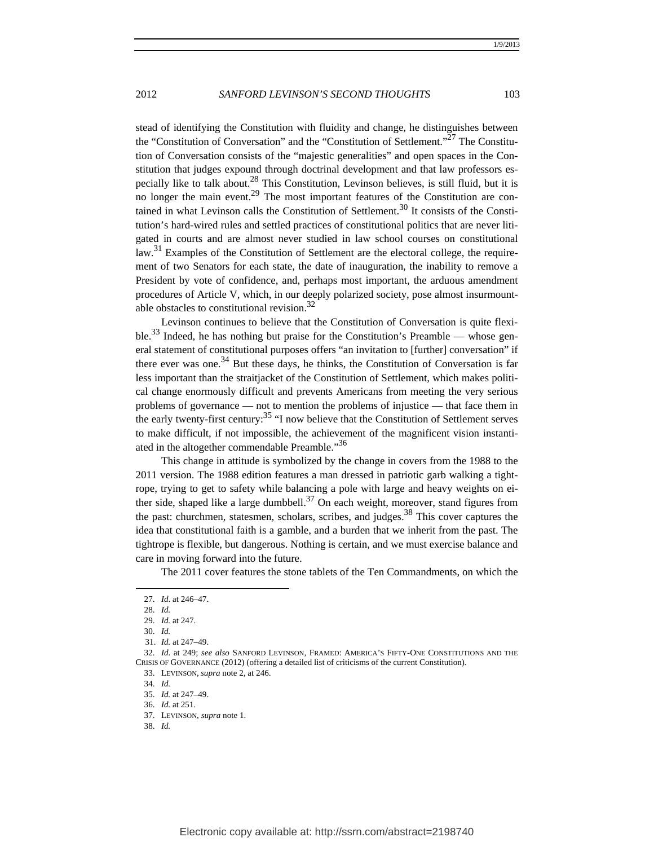stead of identifying the Constitution with fluidity and change, he distinguishes between the "Constitution of Conversation" and the "Constitution of Settlement."27 The Constitution of Conversation consists of the "majestic generalities" and open spaces in the Constitution that judges expound through doctrinal development and that law professors especially like to talk about.<sup>28</sup> This Constitution, Levinson believes, is still fluid, but it is no longer the main event.<sup>29</sup> The most important features of the Constitution are contained in what Levinson calls the Constitution of Settlement.<sup>30</sup> It consists of the Constitution's hard-wired rules and settled practices of constitutional politics that are never litigated in courts and are almost never studied in law school courses on constitutional law.<sup>31</sup> Examples of the Constitution of Settlement are the electoral college, the requirement of two Senators for each state, the date of inauguration, the inability to remove a President by vote of confidence, and, perhaps most important, the arduous amendment procedures of Article V, which, in our deeply polarized society, pose almost insurmountable obstacles to constitutional revision. $32$ 

Levinson continues to believe that the Constitution of Conversation is quite flexible.<sup>33</sup> Indeed, he has nothing but praise for the Constitution's Preamble — whose general statement of constitutional purposes offers "an invitation to [further] conversation" if there ever was one.<sup>34</sup> But these days, he thinks, the Constitution of Conversation is far less important than the straitjacket of the Constitution of Settlement, which makes political change enormously difficult and prevents Americans from meeting the very serious problems of governance — not to mention the problems of injustice — that face them in the early twenty-first century: $35$  "I now believe that the Constitution of Settlement serves to make difficult, if not impossible, the achievement of the magnificent vision instantiated in the altogether commendable Preamble."36

This change in attitude is symbolized by the change in covers from the 1988 to the 2011 version. The 1988 edition features a man dressed in patriotic garb walking a tightrope, trying to get to safety while balancing a pole with large and heavy weights on either side, shaped like a large dumbbell. $37$  On each weight, moreover, stand figures from the past: churchmen, statesmen, scholars, scribes, and judges.<sup>38</sup> This cover captures the idea that constitutional faith is a gamble, and a burden that we inherit from the past. The tightrope is flexible, but dangerous. Nothing is certain, and we must exercise balance and care in moving forward into the future.

The 2011 cover features the stone tablets of the Ten Commandments, on which the

 <sup>27.</sup> *Id*. at 246–47.

 <sup>28.</sup> *Id.* 

 <sup>29.</sup> *Id.* at 247.

 <sup>30.</sup> *Id.*

<sup>31.</sup> *Id.* at 247–49.

 <sup>32.</sup> *Id*. at 249; *see also* SANFORD LEVINSON, FRAMED: AMERICA'S FIFTY-ONE CONSTITUTIONS AND THE CRISIS OF GOVERNANCE (2012) (offering a detailed list of criticisms of the current Constitution).

 <sup>33.</sup> LEVINSON, *supra* note 2, at 246.

 <sup>34.</sup> *Id.*

 <sup>35.</sup> *Id.* at 247–49.

 <sup>36.</sup> *Id.* at 251.

 <sup>37.</sup> LEVINSON, *supra* note 1.

 <sup>38.</sup> *Id.*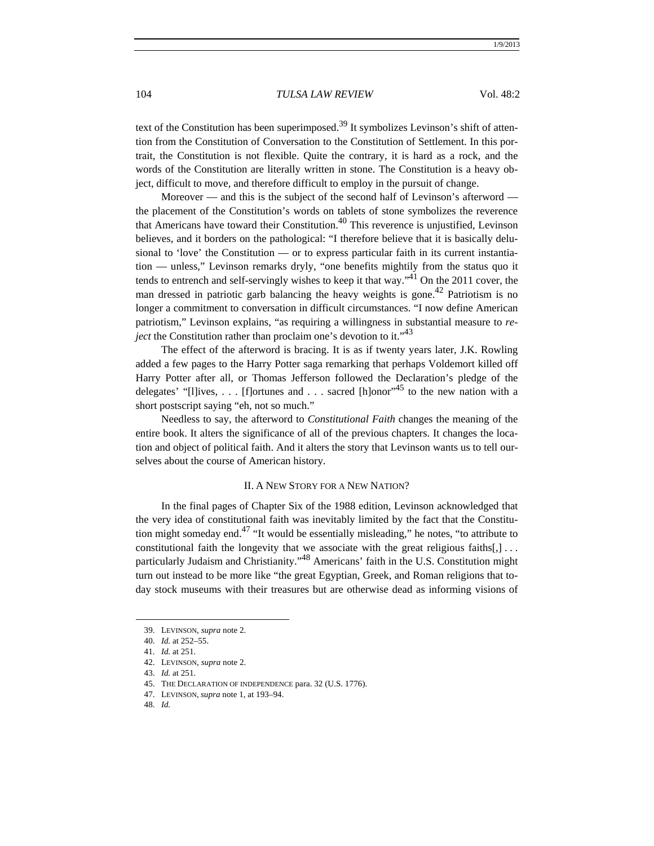text of the Constitution has been superimposed.<sup>39</sup> It symbolizes Levinson's shift of attention from the Constitution of Conversation to the Constitution of Settlement. In this portrait, the Constitution is not flexible. Quite the contrary, it is hard as a rock, and the words of the Constitution are literally written in stone. The Constitution is a heavy object, difficult to move, and therefore difficult to employ in the pursuit of change.

Moreover — and this is the subject of the second half of Levinson's afterword the placement of the Constitution's words on tablets of stone symbolizes the reverence that Americans have toward their Constitution. $40$  This reverence is unjustified, Levinson believes, and it borders on the pathological: "I therefore believe that it is basically delusional to 'love' the Constitution — or to express particular faith in its current instantiation — unless," Levinson remarks dryly, "one benefits mightily from the status quo it tends to entrench and self-servingly wishes to keep it that way.<sup> $1$ </sup> On the 2011 cover, the man dressed in patriotic garb balancing the heavy weights is gone.<sup>42</sup> Patriotism is no longer a commitment to conversation in difficult circumstances. "I now define American patriotism," Levinson explains, "as requiring a willingness in substantial measure to *reject* the Constitution rather than proclaim one's devotion to it."<sup>43</sup>

The effect of the afterword is bracing. It is as if twenty years later, J.K. Rowling added a few pages to the Harry Potter saga remarking that perhaps Voldemort killed off Harry Potter after all, or Thomas Jefferson followed the Declaration's pledge of the delegates' "[I]ives, . . . [f]ortunes and . . . sacred [h]onor"<sup>45</sup> to the new nation with a short postscript saying "eh, not so much."

Needless to say, the afterword to *Constitutional Faith* changes the meaning of the entire book. It alters the significance of all of the previous chapters. It changes the location and object of political faith. And it alters the story that Levinson wants us to tell ourselves about the course of American history.

#### II. A NEW STORY FOR A NEW NATION?

In the final pages of Chapter Six of the 1988 edition, Levinson acknowledged that the very idea of constitutional faith was inevitably limited by the fact that the Constitution might someday end.<sup>47</sup> "It would be essentially misleading," he notes, "to attribute to constitutional faith the longevity that we associate with the great religious faiths $[,] \ldots$ particularly Judaism and Christianity."48 Americans' faith in the U.S. Constitution might turn out instead to be more like "the great Egyptian, Greek, and Roman religions that today stock museums with their treasures but are otherwise dead as informing visions of

 <sup>39.</sup> LEVINSON, *supra* note 2.

 <sup>40.</sup> *Id.* at 252–55.

 <sup>41.</sup> *Id.* at 251.

 <sup>42.</sup> LEVINSON, *supra* note 2.

 <sup>43.</sup> *Id.* at 251.

 <sup>45.</sup> THE DECLARATION OF INDEPENDENCE para. 32 (U.S. 1776).

 <sup>47.</sup> LEVINSON, *supra* note 1, at 193–94.

 <sup>48.</sup> *Id.*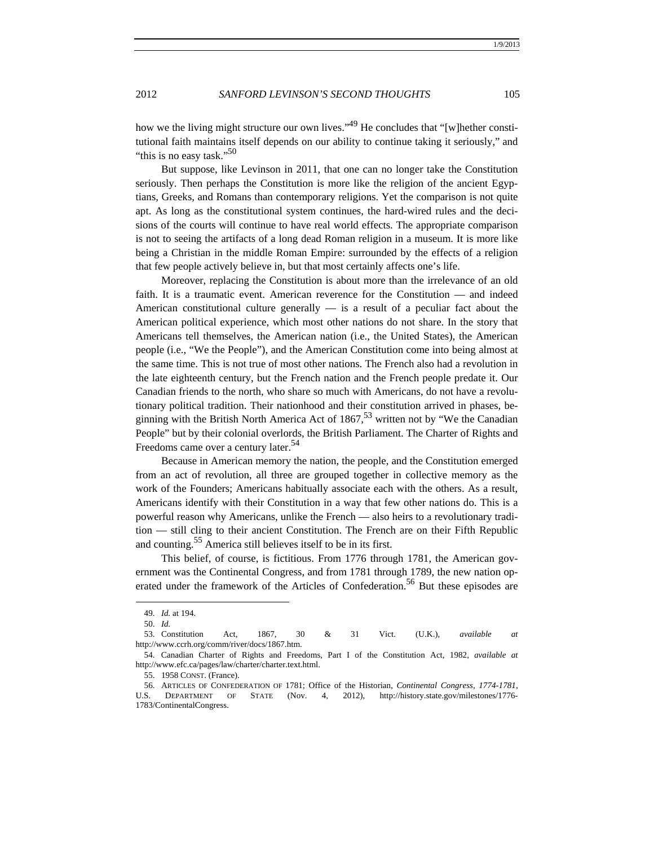how we the living might structure our own lives."<sup>49</sup> He concludes that "[w]hether constitutional faith maintains itself depends on our ability to continue taking it seriously," and "this is no easy task." $50$ 

But suppose, like Levinson in 2011, that one can no longer take the Constitution seriously. Then perhaps the Constitution is more like the religion of the ancient Egyptians, Greeks, and Romans than contemporary religions. Yet the comparison is not quite apt. As long as the constitutional system continues, the hard-wired rules and the decisions of the courts will continue to have real world effects. The appropriate comparison is not to seeing the artifacts of a long dead Roman religion in a museum. It is more like being a Christian in the middle Roman Empire: surrounded by the effects of a religion that few people actively believe in, but that most certainly affects one's life.

Moreover, replacing the Constitution is about more than the irrelevance of an old faith. It is a traumatic event. American reverence for the Constitution — and indeed American constitutional culture generally  $-$  is a result of a peculiar fact about the American political experience, which most other nations do not share. In the story that Americans tell themselves, the American nation (i.e., the United States), the American people (i.e., "We the People"), and the American Constitution come into being almost at the same time. This is not true of most other nations. The French also had a revolution in the late eighteenth century, but the French nation and the French people predate it. Our Canadian friends to the north, who share so much with Americans, do not have a revolutionary political tradition. Their nationhood and their constitution arrived in phases, beginning with the British North America Act of  $1867<sup>53</sup>$  written not by "We the Canadian People" but by their colonial overlords, the British Parliament. The Charter of Rights and Freedoms came over a century later.<sup>54</sup>

Because in American memory the nation, the people, and the Constitution emerged from an act of revolution, all three are grouped together in collective memory as the work of the Founders; Americans habitually associate each with the others. As a result, Americans identify with their Constitution in a way that few other nations do. This is a powerful reason why Americans, unlike the French — also heirs to a revolutionary tradition — still cling to their ancient Constitution. The French are on their Fifth Republic and counting.<sup>55</sup> America still believes itself to be in its first.

This belief, of course, is fictitious. From 1776 through 1781, the American government was the Continental Congress, and from 1781 through 1789, the new nation operated under the framework of the Articles of Confederation.<sup>56</sup> But these episodes are

 <sup>49.</sup> *Id.* at 194.

 <sup>50.</sup> *Id.*

 <sup>53.</sup> Constitution Act, 1867, 30 & 31 Vict. (U.K.), *available at* http://www.ccrh.org/comm/river/docs/1867.htm.

 <sup>54.</sup> Canadian Charter of Rights and Freedoms, Part I of the Constitution Act, 1982, *available at* http://www.efc.ca/pages/law/charter/charter.text.html.

 <sup>55. 1958</sup> CONST. (France).

 <sup>56.</sup> ARTICLES OF CONFEDERATION OF 1781; Office of the Historian, *Continental Congress, 1774-1781*, U.S. DEPARTMENT OF STATE (Nov. 4, 2012), http://history.state.gov/milestones/1776- 1783/ContinentalCongress.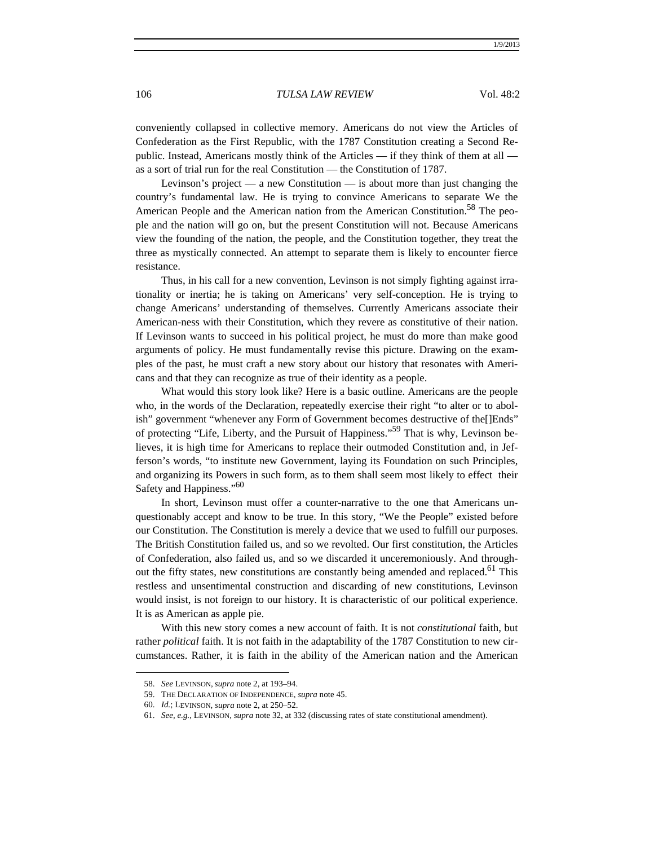conveniently collapsed in collective memory. Americans do not view the Articles of Confederation as the First Republic, with the 1787 Constitution creating a Second Republic. Instead, Americans mostly think of the Articles — if they think of them at all  $$ as a sort of trial run for the real Constitution — the Constitution of 1787.

Levinson's project — a new Constitution — is about more than just changing the country's fundamental law. He is trying to convince Americans to separate We the American People and the American nation from the American Constitution.<sup>58</sup> The people and the nation will go on, but the present Constitution will not. Because Americans view the founding of the nation, the people, and the Constitution together, they treat the three as mystically connected. An attempt to separate them is likely to encounter fierce resistance.

Thus, in his call for a new convention, Levinson is not simply fighting against irrationality or inertia; he is taking on Americans' very self-conception. He is trying to change Americans' understanding of themselves. Currently Americans associate their American-ness with their Constitution, which they revere as constitutive of their nation. If Levinson wants to succeed in his political project, he must do more than make good arguments of policy. He must fundamentally revise this picture. Drawing on the examples of the past, he must craft a new story about our history that resonates with Americans and that they can recognize as true of their identity as a people.

What would this story look like? Here is a basic outline. Americans are the people who, in the words of the Declaration, repeatedly exercise their right "to alter or to abolish" government "whenever any Form of Government becomes destructive of the[]Ends" of protecting "Life, Liberty, and the Pursuit of Happiness."59 That is why, Levinson believes, it is high time for Americans to replace their outmoded Constitution and, in Jefferson's words, "to institute new Government, laying its Foundation on such Principles, and organizing its Powers in such form, as to them shall seem most likely to effect their Safety and Happiness."<sup>60</sup>

In short, Levinson must offer a counter-narrative to the one that Americans unquestionably accept and know to be true. In this story, "We the People" existed before our Constitution. The Constitution is merely a device that we used to fulfill our purposes. The British Constitution failed us, and so we revolted. Our first constitution, the Articles of Confederation, also failed us, and so we discarded it unceremoniously. And throughout the fifty states, new constitutions are constantly being amended and replaced.<sup>61</sup> This restless and unsentimental construction and discarding of new constitutions, Levinson would insist, is not foreign to our history. It is characteristic of our political experience. It is as American as apple pie.

With this new story comes a new account of faith. It is not *constitutional* faith, but rather *political* faith. It is not faith in the adaptability of the 1787 Constitution to new circumstances. Rather, it is faith in the ability of the American nation and the American

 <sup>58.</sup> *See* LEVINSON, *supra* note 2, at 193–94.

 <sup>59.</sup> THE DECLARATION OF INDEPENDENCE, *supra* note 45.

 <sup>60.</sup> *Id.*; LEVINSON, *supra* note 2, at 250–52.

 <sup>61.</sup> *See, e.g.*, LEVINSON, *supra* note 32, at 332 (discussing rates of state constitutional amendment).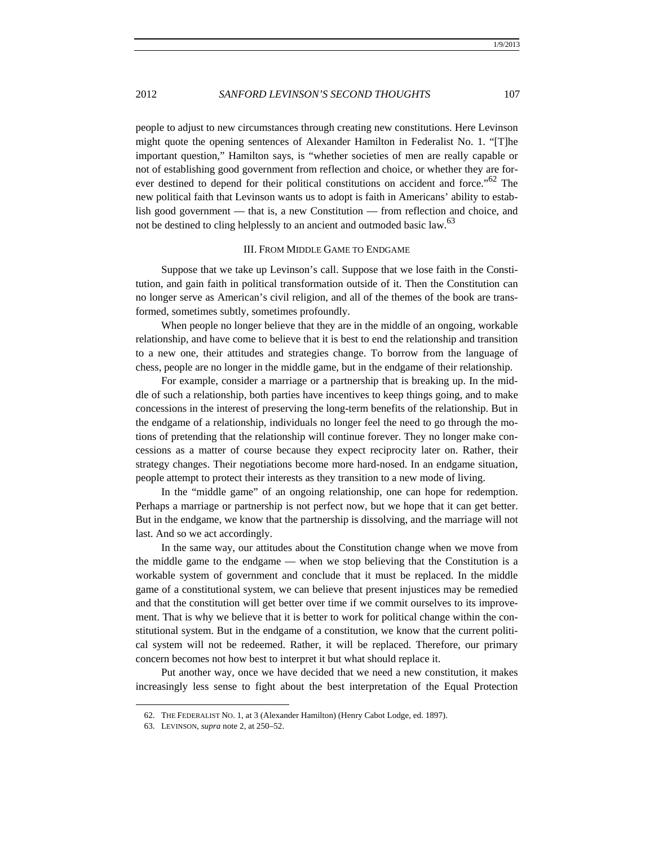people to adjust to new circumstances through creating new constitutions. Here Levinson might quote the opening sentences of Alexander Hamilton in Federalist No. 1. "[T]he important question," Hamilton says, is "whether societies of men are really capable or not of establishing good government from reflection and choice, or whether they are forever destined to depend for their political constitutions on accident and force."<sup>62</sup> The new political faith that Levinson wants us to adopt is faith in Americans' ability to establish good government — that is, a new Constitution — from reflection and choice, and not be destined to cling helplessly to an ancient and outmoded basic law.<sup>63</sup>

#### III. FROM MIDDLE GAME TO ENDGAME

Suppose that we take up Levinson's call. Suppose that we lose faith in the Constitution, and gain faith in political transformation outside of it. Then the Constitution can no longer serve as American's civil religion, and all of the themes of the book are transformed, sometimes subtly, sometimes profoundly.

When people no longer believe that they are in the middle of an ongoing, workable relationship, and have come to believe that it is best to end the relationship and transition to a new one, their attitudes and strategies change. To borrow from the language of chess, people are no longer in the middle game, but in the endgame of their relationship.

For example, consider a marriage or a partnership that is breaking up. In the middle of such a relationship, both parties have incentives to keep things going, and to make concessions in the interest of preserving the long-term benefits of the relationship. But in the endgame of a relationship, individuals no longer feel the need to go through the motions of pretending that the relationship will continue forever. They no longer make concessions as a matter of course because they expect reciprocity later on. Rather, their strategy changes. Their negotiations become more hard-nosed. In an endgame situation, people attempt to protect their interests as they transition to a new mode of living.

In the "middle game" of an ongoing relationship, one can hope for redemption. Perhaps a marriage or partnership is not perfect now, but we hope that it can get better. But in the endgame, we know that the partnership is dissolving, and the marriage will not last. And so we act accordingly.

In the same way, our attitudes about the Constitution change when we move from the middle game to the endgame — when we stop believing that the Constitution is a workable system of government and conclude that it must be replaced. In the middle game of a constitutional system, we can believe that present injustices may be remedied and that the constitution will get better over time if we commit ourselves to its improvement. That is why we believe that it is better to work for political change within the constitutional system. But in the endgame of a constitution, we know that the current political system will not be redeemed. Rather, it will be replaced. Therefore, our primary concern becomes not how best to interpret it but what should replace it.

Put another way, once we have decided that we need a new constitution, it makes increasingly less sense to fight about the best interpretation of the Equal Protection

 <sup>62.</sup> THE FEDERALIST NO. 1, at 3 (Alexander Hamilton) (Henry Cabot Lodge, ed. 1897).

 <sup>63.</sup> LEVINSON, *supra* note 2, at 250–52.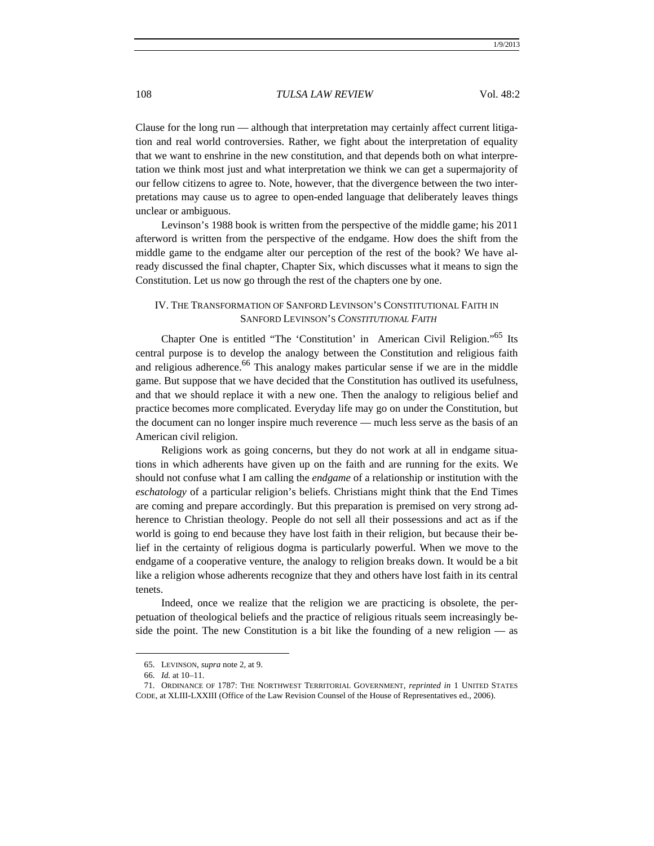Clause for the long run — although that interpretation may certainly affect current litigation and real world controversies. Rather, we fight about the interpretation of equality that we want to enshrine in the new constitution, and that depends both on what interpretation we think most just and what interpretation we think we can get a supermajority of our fellow citizens to agree to. Note, however, that the divergence between the two interpretations may cause us to agree to open-ended language that deliberately leaves things unclear or ambiguous.

Levinson's 1988 book is written from the perspective of the middle game; his 2011 afterword is written from the perspective of the endgame. How does the shift from the middle game to the endgame alter our perception of the rest of the book? We have already discussed the final chapter, Chapter Six, which discusses what it means to sign the Constitution. Let us now go through the rest of the chapters one by one.

# IV. THE TRANSFORMATION OF SANFORD LEVINSON'S CONSTITUTIONAL FAITH IN SANFORD LEVINSON'S *CONSTITUTIONAL FAITH*

Chapter One is entitled "The 'Constitution' in American Civil Religion."65 Its central purpose is to develop the analogy between the Constitution and religious faith and religious adherence.<sup>66</sup> This analogy makes particular sense if we are in the middle game. But suppose that we have decided that the Constitution has outlived its usefulness, and that we should replace it with a new one. Then the analogy to religious belief and practice becomes more complicated. Everyday life may go on under the Constitution, but the document can no longer inspire much reverence — much less serve as the basis of an American civil religion.

Religions work as going concerns, but they do not work at all in endgame situations in which adherents have given up on the faith and are running for the exits. We should not confuse what I am calling the *endgame* of a relationship or institution with the *eschatology* of a particular religion's beliefs. Christians might think that the End Times are coming and prepare accordingly. But this preparation is premised on very strong adherence to Christian theology. People do not sell all their possessions and act as if the world is going to end because they have lost faith in their religion, but because their belief in the certainty of religious dogma is particularly powerful. When we move to the endgame of a cooperative venture, the analogy to religion breaks down. It would be a bit like a religion whose adherents recognize that they and others have lost faith in its central tenets.

Indeed, once we realize that the religion we are practicing is obsolete, the perpetuation of theological beliefs and the practice of religious rituals seem increasingly beside the point. The new Constitution is a bit like the founding of a new religion — as

 <sup>65.</sup> LEVINSON, *supra* note 2, at 9.

 <sup>66.</sup> *Id.* at 10–11.

 <sup>71.</sup> ORDINANCE OF 1787: THE NORTHWEST TERRITORIAL GOVERNMENT, *reprinted in* 1 UNITED STATES CODE, at XLIII-LXXIII (Office of the Law Revision Counsel of the House of Representatives ed., 2006).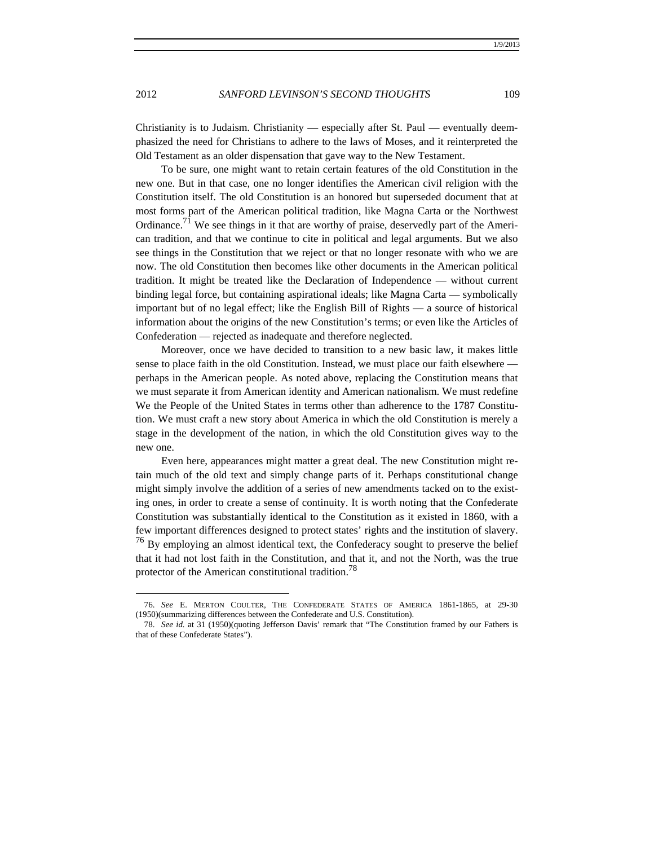Christianity is to Judaism. Christianity — especially after St. Paul — eventually deemphasized the need for Christians to adhere to the laws of Moses, and it reinterpreted the Old Testament as an older dispensation that gave way to the New Testament.

To be sure, one might want to retain certain features of the old Constitution in the new one. But in that case, one no longer identifies the American civil religion with the Constitution itself. The old Constitution is an honored but superseded document that at most forms part of the American political tradition, like Magna Carta or the Northwest Ordinance.<sup>71</sup> We see things in it that are worthy of praise, deservedly part of the American tradition, and that we continue to cite in political and legal arguments. But we also see things in the Constitution that we reject or that no longer resonate with who we are now. The old Constitution then becomes like other documents in the American political tradition. It might be treated like the Declaration of Independence — without current binding legal force, but containing aspirational ideals; like Magna Carta — symbolically important but of no legal effect; like the English Bill of Rights — a source of historical information about the origins of the new Constitution's terms; or even like the Articles of Confederation — rejected as inadequate and therefore neglected.

Moreover, once we have decided to transition to a new basic law, it makes little sense to place faith in the old Constitution. Instead, we must place our faith elsewhere perhaps in the American people. As noted above, replacing the Constitution means that we must separate it from American identity and American nationalism. We must redefine We the People of the United States in terms other than adherence to the 1787 Constitution. We must craft a new story about America in which the old Constitution is merely a stage in the development of the nation, in which the old Constitution gives way to the new one.

Even here, appearances might matter a great deal. The new Constitution might retain much of the old text and simply change parts of it. Perhaps constitutional change might simply involve the addition of a series of new amendments tacked on to the existing ones, in order to create a sense of continuity. It is worth noting that the Confederate Constitution was substantially identical to the Constitution as it existed in 1860, with a few important differences designed to protect states' rights and the institution of slavery.  $76$  By employing an almost identical text, the Confederacy sought to preserve the belief that it had not lost faith in the Constitution, and that it, and not the North, was the true protector of the American constitutional tradition.<sup>78</sup>

 <sup>76.</sup> *See* E. MERTON COULTER, THE CONFEDERATE STATES OF AMERICA 1861-1865, at 29-30 (1950)(summarizing differences between the Confederate and U.S. Constitution).

 <sup>78.</sup> *See id.* at 31 (1950)(quoting Jefferson Davis' remark that "The Constitution framed by our Fathers is that of these Confederate States").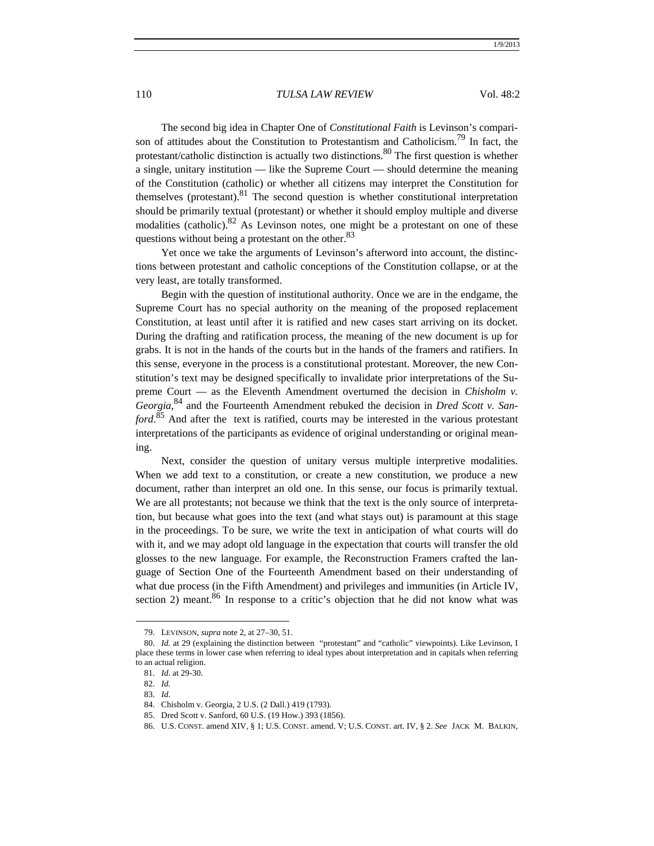The second big idea in Chapter One of *Constitutional Faith* is Levinson's comparison of attitudes about the Constitution to Protestantism and Catholicism.<sup>79</sup> In fact, the protestant/catholic distinction is actually two distinctions.<sup>80</sup> The first question is whether a single, unitary institution — like the Supreme Court — should determine the meaning of the Constitution (catholic) or whether all citizens may interpret the Constitution for themselves (protestant).<sup>81</sup> The second question is whether constitutional interpretation should be primarily textual (protestant) or whether it should employ multiple and diverse modalities (catholic).82 As Levinson notes, one might be a protestant on one of these questions without being a protestant on the other.<sup>83</sup>

Yet once we take the arguments of Levinson's afterword into account, the distinctions between protestant and catholic conceptions of the Constitution collapse, or at the very least, are totally transformed.

Begin with the question of institutional authority. Once we are in the endgame, the Supreme Court has no special authority on the meaning of the proposed replacement Constitution, at least until after it is ratified and new cases start arriving on its docket. During the drafting and ratification process, the meaning of the new document is up for grabs. It is not in the hands of the courts but in the hands of the framers and ratifiers. In this sense, everyone in the process is a constitutional protestant. Moreover, the new Constitution's text may be designed specifically to invalidate prior interpretations of the Supreme Court — as the Eleventh Amendment overturned the decision in *Chisholm v. Georgia*, 84 and the Fourteenth Amendment rebuked the decision in *Dred Scott v. Sanford*. 85 And after the text is ratified, courts may be interested in the various protestant interpretations of the participants as evidence of original understanding or original meaning.

Next, consider the question of unitary versus multiple interpretive modalities. When we add text to a constitution, or create a new constitution, we produce a new document, rather than interpret an old one. In this sense, our focus is primarily textual. We are all protestants; not because we think that the text is the only source of interpretation, but because what goes into the text (and what stays out) is paramount at this stage in the proceedings. To be sure, we write the text in anticipation of what courts will do with it, and we may adopt old language in the expectation that courts will transfer the old glosses to the new language. For example, the Reconstruction Framers crafted the language of Section One of the Fourteenth Amendment based on their understanding of what due process (in the Fifth Amendment) and privileges and immunities (in Article IV, section 2) meant. $86$  In response to a critic's objection that he did not know what was

 <sup>79.</sup> LEVINSON, *supra* note 2, at 27–30, 51.

 <sup>80.</sup> *Id.* at 29 (explaining the distinction between "protestant" and "catholic" viewpoints). Like Levinson, I place these terms in lower case when referring to ideal types about interpretation and in capitals when referring to an actual religion.

 <sup>81.</sup> *Id*. at 29-30.

 <sup>82.</sup> *Id.*

 <sup>83.</sup> *Id*.

 <sup>84.</sup> Chisholm v. Georgia, 2 U.S. (2 Dall.) 419 (1793).

 <sup>85.</sup> Dred Scott v. Sanford, 60 U.S. (19 How.) 393 (1856).

 <sup>86.</sup> U.S. CONST. amend XIV, § 1; U.S. CONST. amend. V; U.S. CONST. art. IV, § 2. *See* JACK M. BALKIN,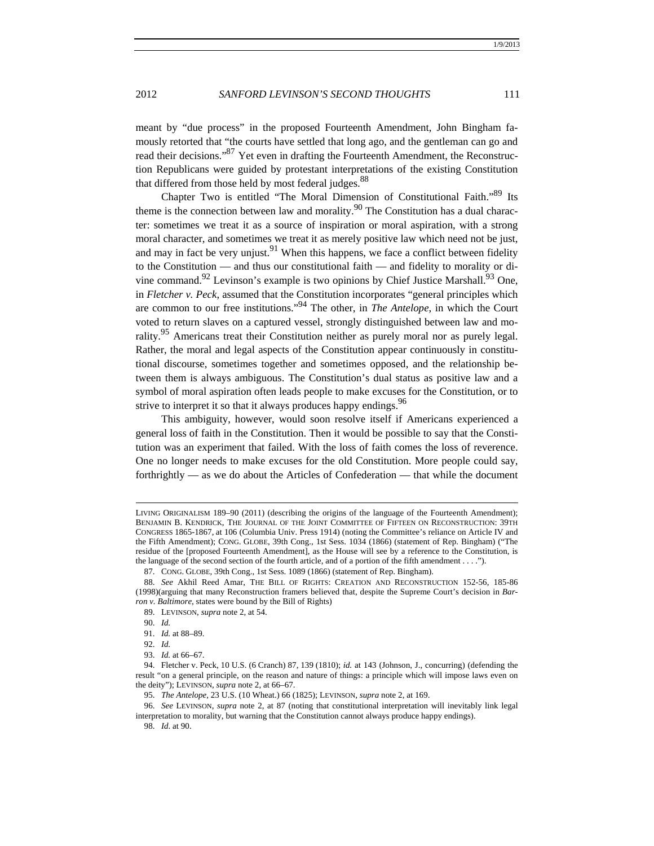meant by "due process" in the proposed Fourteenth Amendment, John Bingham famously retorted that "the courts have settled that long ago, and the gentleman can go and read their decisions."<sup>87</sup> Yet even in drafting the Fourteenth Amendment, the Reconstruction Republicans were guided by protestant interpretations of the existing Constitution that differed from those held by most federal judges.<sup>88</sup>

Chapter Two is entitled "The Moral Dimension of Constitutional Faith."<sup>89</sup> Its theme is the connection between law and morality.<sup>90</sup> The Constitution has a dual character: sometimes we treat it as a source of inspiration or moral aspiration, with a strong moral character, and sometimes we treat it as merely positive law which need not be just, and may in fact be very unjust.<sup>91</sup> When this happens, we face a conflict between fidelity to the Constitution — and thus our constitutional faith — and fidelity to morality or divine command.<sup>92</sup> Levinson's example is two opinions by Chief Justice Marshall.<sup>93</sup> One, in *Fletcher v. Peck*, assumed that the Constitution incorporates "general principles which are common to our free institutions."94 The other, in *The Antelope*, in which the Court voted to return slaves on a captured vessel, strongly distinguished between law and morality.<sup>95</sup> Americans treat their Constitution neither as purely moral nor as purely legal. Rather, the moral and legal aspects of the Constitution appear continuously in constitutional discourse, sometimes together and sometimes opposed, and the relationship between them is always ambiguous. The Constitution's dual status as positive law and a symbol of moral aspiration often leads people to make excuses for the Constitution, or to strive to interpret it so that it always produces happy endings.<sup>96</sup>

This ambiguity, however, would soon resolve itself if Americans experienced a general loss of faith in the Constitution. Then it would be possible to say that the Constitution was an experiment that failed. With the loss of faith comes the loss of reverence. One no longer needs to make excuses for the old Constitution. More people could say, forthrightly — as we do about the Articles of Confederation — that while the document

LIVING ORIGINALISM 189–90 (2011) (describing the origins of the language of the Fourteenth Amendment); BENJAMIN B. KENDRICK, THE JOURNAL OF THE JOINT COMMITTEE OF FIFTEEN ON RECONSTRUCTION: 39TH CONGRESS 1865-1867, at 106 (Columbia Univ. Press 1914) (noting the Committee's reliance on Article IV and the Fifth Amendment); CONG. GLOBE, 39th Cong., 1st Sess. 1034 (1866) (statement of Rep. Bingham) ("The residue of the [proposed Fourteenth Amendment], as the House will see by a reference to the Constitution, is the language of the second section of the fourth article, and of a portion of the fifth amendment . . . .").

 <sup>87.</sup> CONG. GLOBE, 39th Cong., 1st Sess. 1089 (1866) (statement of Rep. Bingham).

 <sup>88.</sup> *See* Akhil Reed Amar, THE BILL OF RIGHTS: CREATION AND RECONSTRUCTION 152-56, 185-86 (1998)(arguing that many Reconstruction framers believed that, despite the Supreme Court's decision in *Barron v. Baltimore*, states were bound by the Bill of Rights)

 <sup>89.</sup> LEVINSON, *supra* note 2, at 54.

 <sup>90.</sup> *Id.*

 <sup>91.</sup> *Id.* at 88–89.

 <sup>92.</sup> *Id.*

 <sup>93.</sup> *Id.* at 66–67.

 <sup>94.</sup> Fletcher v. Peck, 10 U.S. (6 Cranch) 87, 139 (1810); *id.* at 143 (Johnson, J., concurring) (defending the result "on a general principle, on the reason and nature of things: a principle which will impose laws even on the deity"); LEVINSON, *supra* note 2, at 66–67.

 <sup>95.</sup> *The Antelope*, 23 U.S. (10 Wheat.) 66 (1825); LEVINSON, *supra* note 2, at 169.

 <sup>96.</sup> *See* LEVINSON, *supra* note 2, at 87 (noting that constitutional interpretation will inevitably link legal interpretation to morality, but warning that the Constitution cannot always produce happy endings).

 <sup>98.</sup> *Id*. at 90.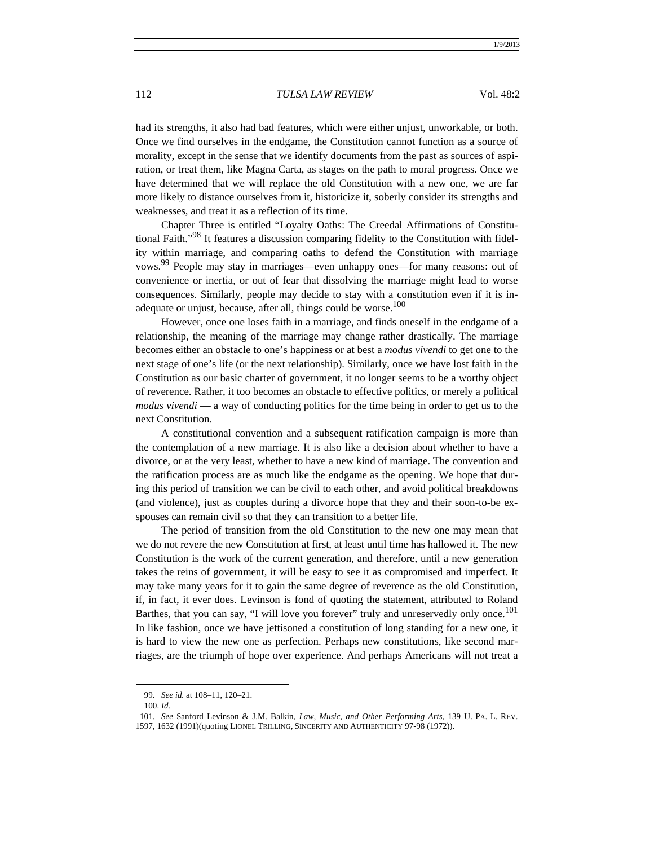had its strengths, it also had bad features, which were either unjust, unworkable, or both. Once we find ourselves in the endgame, the Constitution cannot function as a source of morality, except in the sense that we identify documents from the past as sources of aspiration, or treat them, like Magna Carta, as stages on the path to moral progress. Once we have determined that we will replace the old Constitution with a new one, we are far more likely to distance ourselves from it, historicize it, soberly consider its strengths and weaknesses, and treat it as a reflection of its time.

Chapter Three is entitled "Loyalty Oaths: The Creedal Affirmations of Constitutional Faith."<sup>98</sup> It features a discussion comparing fidelity to the Constitution with fidelity within marriage, and comparing oaths to defend the Constitution with marriage vows.99 People may stay in marriages—even unhappy ones—for many reasons: out of convenience or inertia, or out of fear that dissolving the marriage might lead to worse consequences. Similarly, people may decide to stay with a constitution even if it is inadequate or unjust, because, after all, things could be worse.<sup>100</sup>

However, once one loses faith in a marriage, and finds oneself in the endgame of a relationship, the meaning of the marriage may change rather drastically. The marriage becomes either an obstacle to one's happiness or at best a *modus vivendi* to get one to the next stage of one's life (or the next relationship). Similarly, once we have lost faith in the Constitution as our basic charter of government, it no longer seems to be a worthy object of reverence. Rather, it too becomes an obstacle to effective politics, or merely a political *modus vivendi* — a way of conducting politics for the time being in order to get us to the next Constitution.

A constitutional convention and a subsequent ratification campaign is more than the contemplation of a new marriage. It is also like a decision about whether to have a divorce, or at the very least, whether to have a new kind of marriage. The convention and the ratification process are as much like the endgame as the opening. We hope that during this period of transition we can be civil to each other, and avoid political breakdowns (and violence), just as couples during a divorce hope that they and their soon-to-be exspouses can remain civil so that they can transition to a better life.

The period of transition from the old Constitution to the new one may mean that we do not revere the new Constitution at first, at least until time has hallowed it. The new Constitution is the work of the current generation, and therefore, until a new generation takes the reins of government, it will be easy to see it as compromised and imperfect. It may take many years for it to gain the same degree of reverence as the old Constitution, if, in fact, it ever does. Levinson is fond of quoting the statement, attributed to Roland Barthes, that you can say, "I will love you forever" truly and unreservedly only once.<sup>101</sup> In like fashion, once we have jettisoned a constitution of long standing for a new one, it is hard to view the new one as perfection. Perhaps new constitutions, like second marriages, are the triumph of hope over experience. And perhaps Americans will not treat a

 <sup>99.</sup> *See id.* at 108–11, 120–21.

 <sup>100.</sup> *Id.*

 <sup>101.</sup> *See* Sanford Levinson & J.M. Balkin, *Law, Music, and Other Performing Arts*, 139 U. PA. L. REV. 1597, 1632 (1991)(quoting LIONEL TRILLING, SINCERITY AND AUTHENTICITY 97-98 (1972)).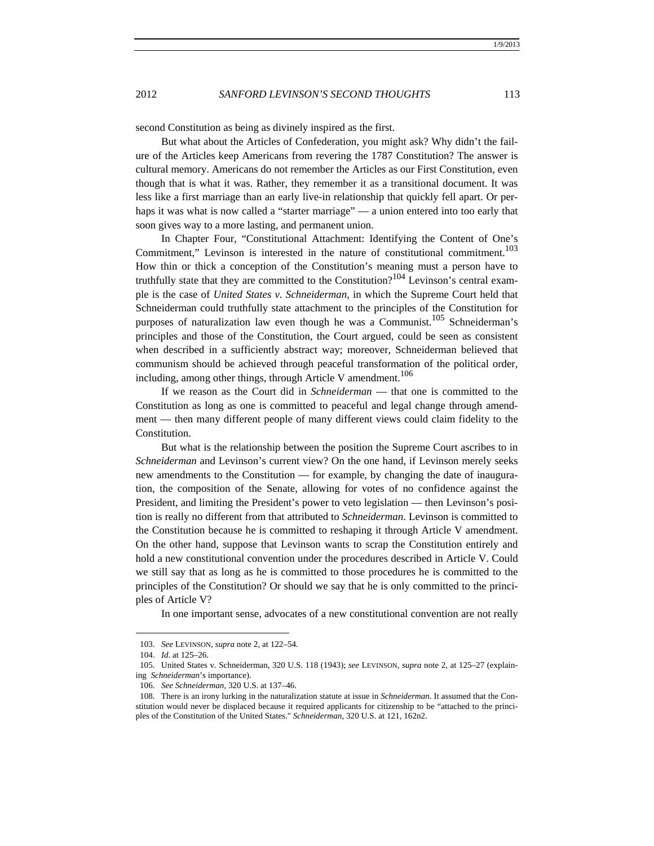second Constitution as being as divinely inspired as the first.

But what about the Articles of Confederation, you might ask? Why didn't the failure of the Articles keep Americans from revering the 1787 Constitution? The answer is cultural memory. Americans do not remember the Articles as our First Constitution, even though that is what it was. Rather, they remember it as a transitional document. It was less like a first marriage than an early live-in relationship that quickly fell apart. Or perhaps it was what is now called a "starter marriage" — a union entered into too early that soon gives way to a more lasting, and permanent union.

In Chapter Four, "Constitutional Attachment: Identifying the Content of One's Commitment," Levinson is interested in the nature of constitutional commitment.<sup>103</sup> How thin or thick a conception of the Constitution's meaning must a person have to truthfully state that they are committed to the Constitution?<sup>104</sup> Levinson's central example is the case of *United States v. Schneiderman*, in which the Supreme Court held that Schneiderman could truthfully state attachment to the principles of the Constitution for purposes of naturalization law even though he was a Communist.<sup>105</sup> Schneiderman's principles and those of the Constitution, the Court argued, could be seen as consistent when described in a sufficiently abstract way; moreover, Schneiderman believed that communism should be achieved through peaceful transformation of the political order, including, among other things, through Article V amendment.<sup>106</sup>

If we reason as the Court did in *Schneiderman* — that one is committed to the Constitution as long as one is committed to peaceful and legal change through amendment — then many different people of many different views could claim fidelity to the Constitution.

But what is the relationship between the position the Supreme Court ascribes to in *Schneiderman* and Levinson's current view? On the one hand, if Levinson merely seeks new amendments to the Constitution — for example, by changing the date of inauguration, the composition of the Senate, allowing for votes of no confidence against the President, and limiting the President's power to veto legislation — then Levinson's position is really no different from that attributed to *Schneiderman*. Levinson is committed to the Constitution because he is committed to reshaping it through Article V amendment. On the other hand, suppose that Levinson wants to scrap the Constitution entirely and hold a new constitutional convention under the procedures described in Article V. Could we still say that as long as he is committed to those procedures he is committed to the principles of the Constitution? Or should we say that he is only committed to the principles of Article V?

In one important sense, advocates of a new constitutional convention are not really

 <sup>103.</sup> *See* LEVINSON, *supra* note 2, at 122–54.

 <sup>104.</sup> *Id*. at 125–26.

 <sup>105.</sup> United States v. Schneiderman, 320 U.S. 118 (1943); *see* LEVINSON, *supra* note 2, at 125–27 (explaining *Schneiderman*'s importance).

 <sup>106.</sup> *See Schneiderman*, 320 U.S. at 137–46.

 <sup>108.</sup> There is an irony lurking in the naturalization statute at issue in *Schneiderman*. It assumed that the Constitution would never be displaced because it required applicants for citizenship to be "attached to the principles of the Constitution of the United States." *Schneiderman*, 320 U.S. at 121, 162n2.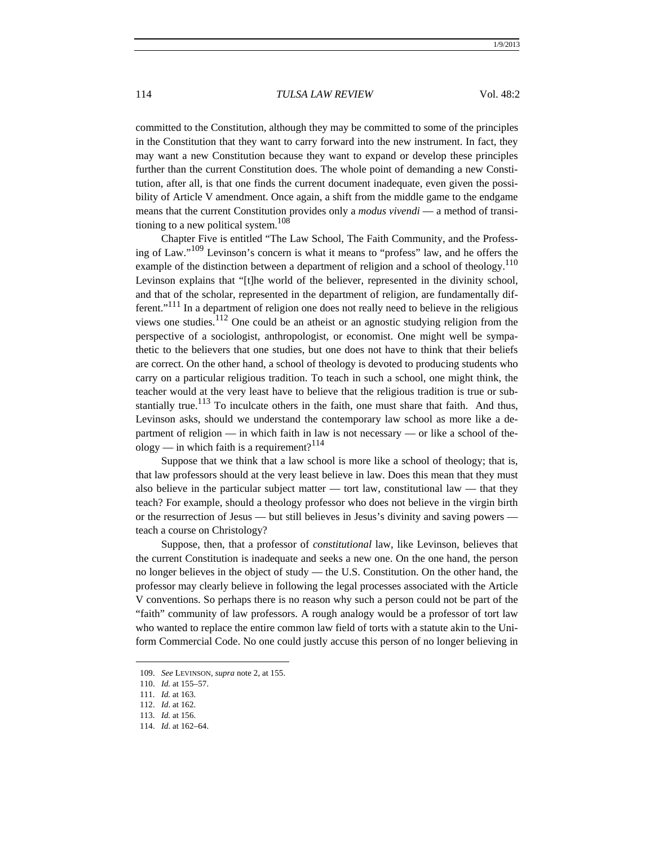committed to the Constitution, although they may be committed to some of the principles in the Constitution that they want to carry forward into the new instrument. In fact, they may want a new Constitution because they want to expand or develop these principles further than the current Constitution does. The whole point of demanding a new Constitution, after all, is that one finds the current document inadequate, even given the possibility of Article V amendment. Once again, a shift from the middle game to the endgame means that the current Constitution provides only a *modus vivendi* — a method of transitioning to a new political system.<sup>108</sup>

Chapter Five is entitled "The Law School, The Faith Community, and the Professing of Law."109 Levinson's concern is what it means to "profess" law, and he offers the example of the distinction between a department of religion and a school of theology.<sup>110</sup> Levinson explains that "[t]he world of the believer, represented in the divinity school, and that of the scholar, represented in the department of religion, are fundamentally different."111 In a department of religion one does not really need to believe in the religious views one studies. $^{112}$  One could be an atheist or an agnostic studying religion from the perspective of a sociologist, anthropologist, or economist. One might well be sympathetic to the believers that one studies, but one does not have to think that their beliefs are correct. On the other hand, a school of theology is devoted to producing students who carry on a particular religious tradition. To teach in such a school, one might think, the teacher would at the very least have to believe that the religious tradition is true or substantially true.<sup>113</sup> To inculcate others in the faith, one must share that faith. And thus, Levinson asks, should we understand the contemporary law school as more like a department of religion — in which faith in law is not necessary — or like a school of theology — in which faith is a requirement?<sup>114</sup>

Suppose that we think that a law school is more like a school of theology; that is, that law professors should at the very least believe in law. Does this mean that they must also believe in the particular subject matter — tort law, constitutional law — that they teach? For example, should a theology professor who does not believe in the virgin birth or the resurrection of Jesus — but still believes in Jesus's divinity and saving powers teach a course on Christology?

Suppose, then, that a professor of *constitutional* law, like Levinson, believes that the current Constitution is inadequate and seeks a new one. On the one hand, the person no longer believes in the object of study — the U.S. Constitution. On the other hand, the professor may clearly believe in following the legal processes associated with the Article V conventions. So perhaps there is no reason why such a person could not be part of the "faith" community of law professors. A rough analogy would be a professor of tort law who wanted to replace the entire common law field of torts with a statute akin to the Uniform Commercial Code. No one could justly accuse this person of no longer believing in

 <sup>109.</sup> *See* LEVINSON, *supra* note 2, at 155.

 <sup>110.</sup> *Id.* at 155–57.

 <sup>111.</sup> *Id.* at 163.

 <sup>112.</sup> *Id*. at 162.

 <sup>113.</sup> *Id.* at 156.

 <sup>114.</sup> *Id*. at 162–64.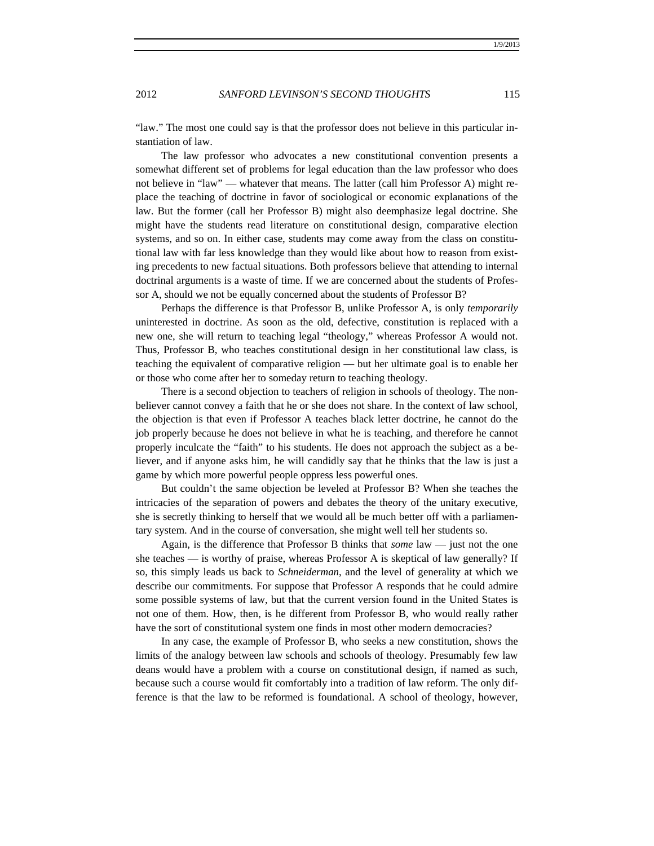"law." The most one could say is that the professor does not believe in this particular instantiation of law.

The law professor who advocates a new constitutional convention presents a somewhat different set of problems for legal education than the law professor who does not believe in "law" — whatever that means. The latter (call him Professor A) might replace the teaching of doctrine in favor of sociological or economic explanations of the law. But the former (call her Professor B) might also deemphasize legal doctrine. She might have the students read literature on constitutional design, comparative election systems, and so on. In either case, students may come away from the class on constitutional law with far less knowledge than they would like about how to reason from existing precedents to new factual situations. Both professors believe that attending to internal doctrinal arguments is a waste of time. If we are concerned about the students of Professor A, should we not be equally concerned about the students of Professor B?

Perhaps the difference is that Professor B, unlike Professor A, is only *temporarily* uninterested in doctrine. As soon as the old, defective, constitution is replaced with a new one, she will return to teaching legal "theology," whereas Professor A would not. Thus, Professor B, who teaches constitutional design in her constitutional law class, is teaching the equivalent of comparative religion — but her ultimate goal is to enable her or those who come after her to someday return to teaching theology.

There is a second objection to teachers of religion in schools of theology. The nonbeliever cannot convey a faith that he or she does not share. In the context of law school, the objection is that even if Professor A teaches black letter doctrine, he cannot do the job properly because he does not believe in what he is teaching, and therefore he cannot properly inculcate the "faith" to his students. He does not approach the subject as a believer, and if anyone asks him, he will candidly say that he thinks that the law is just a game by which more powerful people oppress less powerful ones.

But couldn't the same objection be leveled at Professor B? When she teaches the intricacies of the separation of powers and debates the theory of the unitary executive, she is secretly thinking to herself that we would all be much better off with a parliamentary system. And in the course of conversation, she might well tell her students so.

Again, is the difference that Professor B thinks that *some* law — just not the one she teaches — is worthy of praise, whereas Professor A is skeptical of law generally? If so, this simply leads us back to *Schneiderman*, and the level of generality at which we describe our commitments. For suppose that Professor A responds that he could admire some possible systems of law, but that the current version found in the United States is not one of them. How, then, is he different from Professor B, who would really rather have the sort of constitutional system one finds in most other modern democracies?

In any case, the example of Professor B, who seeks a new constitution, shows the limits of the analogy between law schools and schools of theology. Presumably few law deans would have a problem with a course on constitutional design, if named as such, because such a course would fit comfortably into a tradition of law reform. The only difference is that the law to be reformed is foundational. A school of theology, however,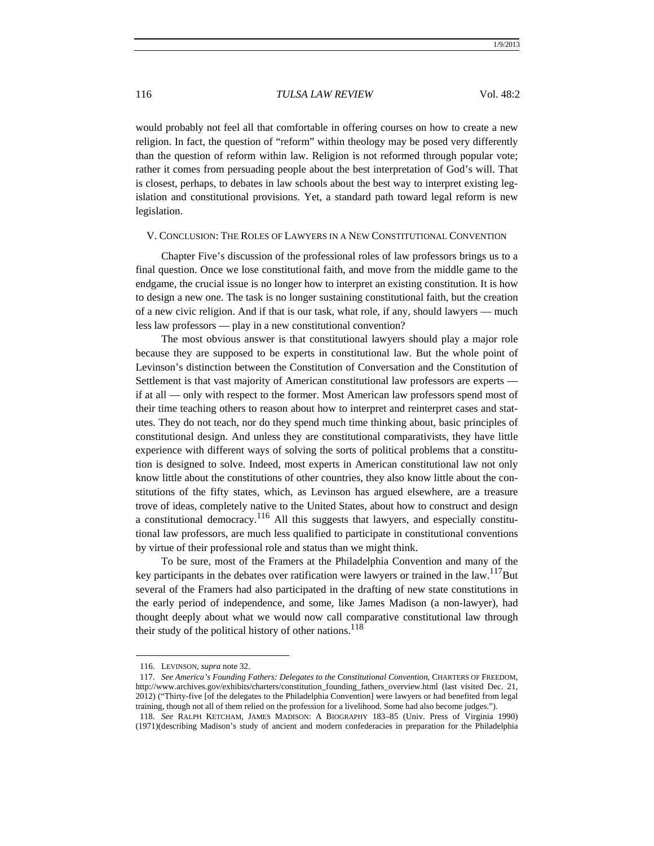would probably not feel all that comfortable in offering courses on how to create a new religion. In fact, the question of "reform" within theology may be posed very differently than the question of reform within law. Religion is not reformed through popular vote; rather it comes from persuading people about the best interpretation of God's will. That is closest, perhaps, to debates in law schools about the best way to interpret existing legislation and constitutional provisions. Yet, a standard path toward legal reform is new legislation.

#### V. CONCLUSION: THE ROLES OF LAWYERS IN A NEW CONSTITUTIONAL CONVENTION

Chapter Five's discussion of the professional roles of law professors brings us to a final question. Once we lose constitutional faith, and move from the middle game to the endgame, the crucial issue is no longer how to interpret an existing constitution. It is how to design a new one. The task is no longer sustaining constitutional faith, but the creation of a new civic religion. And if that is our task, what role, if any, should lawyers — much less law professors — play in a new constitutional convention?

The most obvious answer is that constitutional lawyers should play a major role because they are supposed to be experts in constitutional law. But the whole point of Levinson's distinction between the Constitution of Conversation and the Constitution of Settlement is that vast majority of American constitutional law professors are experts if at all — only with respect to the former. Most American law professors spend most of their time teaching others to reason about how to interpret and reinterpret cases and statutes. They do not teach, nor do they spend much time thinking about, basic principles of constitutional design. And unless they are constitutional comparativists, they have little experience with different ways of solving the sorts of political problems that a constitution is designed to solve. Indeed, most experts in American constitutional law not only know little about the constitutions of other countries, they also know little about the constitutions of the fifty states, which, as Levinson has argued elsewhere, are a treasure trove of ideas, completely native to the United States, about how to construct and design a constitutional democracy.<sup>116</sup> All this suggests that lawyers, and especially constitutional law professors, are much less qualified to participate in constitutional conventions by virtue of their professional role and status than we might think.

To be sure, most of the Framers at the Philadelphia Convention and many of the key participants in the debates over ratification were lawyers or trained in the law. $117$ But several of the Framers had also participated in the drafting of new state constitutions in the early period of independence, and some, like James Madison (a non-lawyer), had thought deeply about what we would now call comparative constitutional law through their study of the political history of other nations.<sup>118</sup>

 <sup>116.</sup> LEVINSON, *supra* note 32.

 <sup>117.</sup> *See America's Founding Fathers: Delegates to the Constitutional Convention*, CHARTERS OF FREEDOM, http://www.archives.gov/exhibits/charters/constitution\_founding\_fathers\_overview.html (last visited Dec. 21, 2012) ("Thirty-five [of the delegates to the Philadelphia Convention] were lawyers or had benefited from legal training, though not all of them relied on the profession for a livelihood. Some had also become judges.").

 <sup>118.</sup> *See* RALPH KETCHAM, JAMES MADISON: A BIOGRAPHY 183–85 (Univ. Press of Virginia 1990) (1971)(describing Madison's study of ancient and modern confederacies in preparation for the Philadelphia